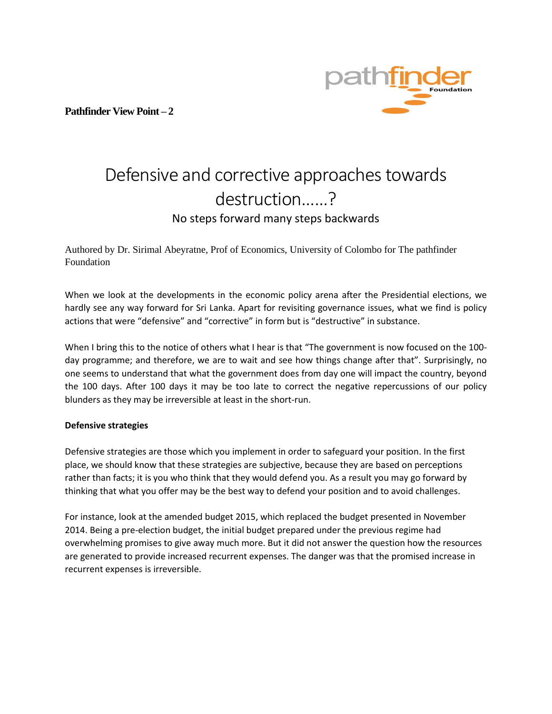**Pathfinder View Point – 2**



# Defensive and corrective approaches towards destruction……? No steps forward many steps backwards

Authored by Dr. Sirimal Abeyratne, Prof of Economics, University of Colombo for The pathfinder Foundation

When we look at the developments in the economic policy arena after the Presidential elections, we hardly see any way forward for Sri Lanka. Apart for revisiting governance issues, what we find is policy actions that were "defensive" and "corrective" in form but is "destructive" in substance.

When I bring this to the notice of others what I hear is that "The government is now focused on the 100day programme; and therefore, we are to wait and see how things change after that". Surprisingly, no one seems to understand that what the government does from day one will impact the country, beyond the 100 days. After 100 days it may be too late to correct the negative repercussions of our policy blunders as they may be irreversible at least in the short-run.

### **Defensive strategies**

Defensive strategies are those which you implement in order to safeguard your position. In the first place, we should know that these strategies are subjective, because they are based on perceptions rather than facts; it is you who think that they would defend you. As a result you may go forward by thinking that what you offer may be the best way to defend your position and to avoid challenges.

For instance, look at the amended budget 2015, which replaced the budget presented in November 2014. Being a pre-election budget, the initial budget prepared under the previous regime had overwhelming promises to give away much more. But it did not answer the question how the resources are generated to provide increased recurrent expenses. The danger was that the promised increase in recurrent expenses is irreversible.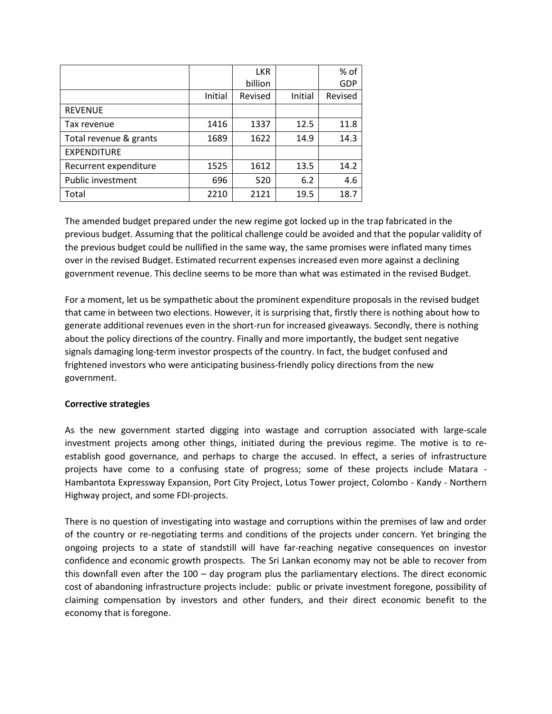|                        |         | <b>LKR</b> |         | % of    |
|------------------------|---------|------------|---------|---------|
|                        |         | billion    |         | GDP     |
|                        | Initial | Revised    | Initial | Revised |
| <b>REVENUE</b>         |         |            |         |         |
| Tax revenue            | 1416    | 1337       | 12.5    | 11.8    |
| Total revenue & grants | 1689    | 1622       | 14.9    | 14.3    |
| <b>EXPENDITURE</b>     |         |            |         |         |
| Recurrent expenditure  | 1525    | 1612       | 13.5    | 14.2    |
| Public investment      | 696     | 520        | 6.2     | 4.6     |
| Total                  | 2210    | 2121       | 19.5    | 18.7    |

The amended budget prepared under the new regime got locked up in the trap fabricated in the previous budget. Assuming that the political challenge could be avoided and that the popular validity of the previous budget could be nullified in the same way, the same promises were inflated many times over in the revised Budget. Estimated recurrent expenses increased even more against a declining government revenue. This decline seems to be more than what was estimated in the revised Budget.

For a moment, let us be sympathetic about the prominent expenditure proposals in the revised budget that came in between two elections. However, it is surprising that, firstly there is nothing about how to generate additional revenues even in the short-run for increased giveaways. Secondly, there is nothing about the policy directions of the country. Finally and more importantly, the budget sent negative signals damaging long-term investor prospects of the country. In fact, the budget confused and frightened investors who were anticipating business-friendly policy directions from the new government.

### **Corrective strategies**

As the new government started digging into wastage and corruption associated with large-scale investment projects among other things, initiated during the previous regime. The motive is to reestablish good governance, and perhaps to charge the accused. In effect, a series of infrastructure projects have come to a confusing state of progress; some of these projects include Matara - Hambantota Expressway Expansion, Port City Project, Lotus Tower project, Colombo - Kandy - Northern Highway project, and some FDI-projects.

There is no question of investigating into wastage and corruptions within the premises of law and order of the country or re-negotiating terms and conditions of the projects under concern. Yet bringing the ongoing projects to a state of standstill will have far-reaching negative consequences on investor confidence and economic growth prospects. The Sri Lankan economy may not be able to recover from this downfall even after the 100 – day program plus the parliamentary elections. The direct economic cost of abandoning infrastructure projects include: public or private investment foregone, possibility of claiming compensation by investors and other funders, and their direct economic benefit to the economy that is foregone.